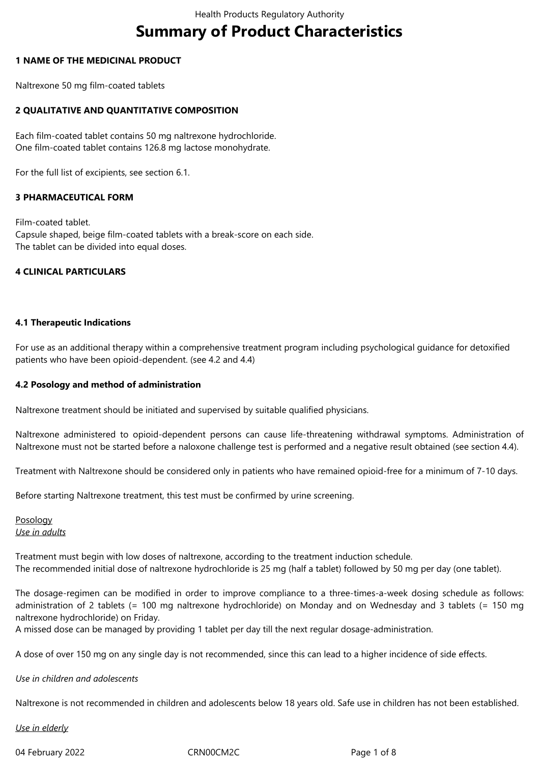# **Summary of Product Characteristics**

#### **1 NAME OF THE MEDICINAL PRODUCT**

Naltrexone 50 mg film-coated tablets

## **2 QUALITATIVE AND QUANTITATIVE COMPOSITION**

Each film-coated tablet contains 50 mg naltrexone hydrochloride. One film-coated tablet contains 126.8 mg lactose monohydrate.

For the full list of excipients, see section 6.1.

## **3 PHARMACEUTICAL FORM**

Film-coated tablet. Capsule shaped, beige film-coated tablets with a break-score on each side. The tablet can be divided into equal doses.

#### **4 CLINICAL PARTICULARS**

## **4.1 Therapeutic Indications**

For use as an additional therapy within a comprehensive treatment program including psychological guidance for detoxified patients who have been opioid-dependent. (see 4.2 and 4.4)

#### **4.2 Posology and method of administration**

Naltrexone treatment should be initiated and supervised by suitable qualified physicians.

Naltrexone administered to opioid-dependent persons can cause life-threatening withdrawal symptoms. Administration of Naltrexone must not be started before a naloxone challenge test is performed and a negative result obtained (see section 4.4).

Treatment with Naltrexone should be considered only in patients who have remained opioid-free for a minimum of 7-10 days.

Before starting Naltrexone treatment, this test must be confirmed by urine screening.

Posology *Use in adults*

Treatment must begin with low doses of naltrexone, according to the treatment induction schedule. The recommended initial dose of naltrexone hydrochloride is 25 mg (half a tablet) followed by 50 mg per day (one tablet).

The dosage-regimen can be modified in order to improve compliance to a three-times-a-week dosing schedule as follows: administration of 2 tablets (= 100 mg naltrexone hydrochloride) on Monday and on Wednesday and 3 tablets (= 150 mg naltrexone hydrochloride) on Friday.

A missed dose can be managed by providing 1 tablet per day till the next regular dosage-administration.

A dose of over 150 mg on any single day is not recommended, since this can lead to a higher incidence of side effects.

#### *Use in children and adolescents*

Naltrexone is not recommended in children and adolescents below 18 years old. Safe use in children has not been established.

*Use in elderly*

04 February 2022 CRN00CM2C Page 1 of 8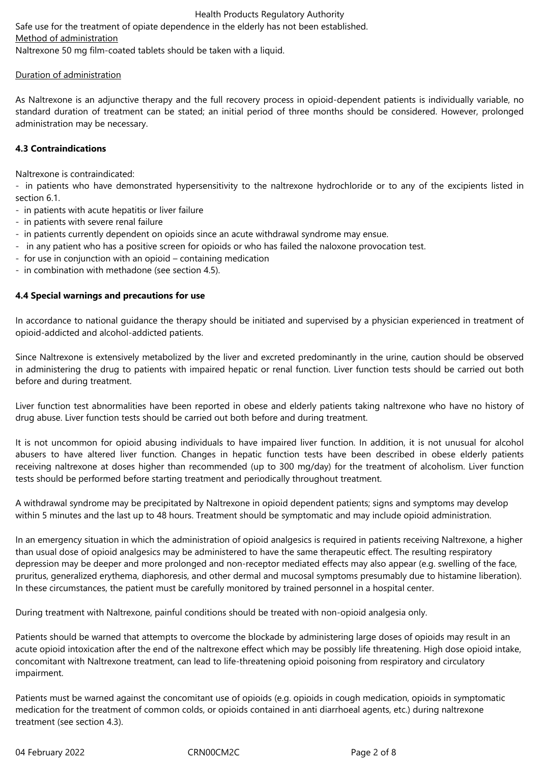Safe use for the treatment of opiate dependence in the elderly has not been established. Method of administration Naltrexone 50 mg film-coated tablets should be taken with a liquid.

## Duration of administration

As Naltrexone is an adjunctive therapy and the full recovery process in opioid-dependent patients is individually variable, no standard duration of treatment can be stated; an initial period of three months should be considered. However, prolonged administration may be necessary.

## **4.3 Contraindications**

Naltrexone is contraindicated:

- in patients who have demonstrated hypersensitivity to the naltrexone hydrochloride or to any of the excipients listed in section 6.1.

- in patients with acute hepatitis or liver failure
- in patients with severe renal failure
- in patients currently dependent on opioids since an acute withdrawal syndrome may ensue.
- in any patient who has a positive screen for opioids or who has failed the naloxone provocation test.
- for use in conjunction with an opioid containing medication
- in combination with methadone (see section 4.5).

## **4.4 Special warnings and precautions for use**

In accordance to national guidance the therapy should be initiated and supervised by a physician experienced in treatment of opioid-addicted and alcohol-addicted patients.

Since Naltrexone is extensively metabolized by the liver and excreted predominantly in the urine, caution should be observed in administering the drug to patients with impaired hepatic or renal function. Liver function tests should be carried out both before and during treatment.

Liver function test abnormalities have been reported in obese and elderly patients taking naltrexone who have no history of drug abuse. Liver function tests should be carried out both before and during treatment.

It is not uncommon for opioid abusing individuals to have impaired liver function. In addition, it is not unusual for alcohol abusers to have altered liver function. Changes in hepatic function tests have been described in obese elderly patients receiving naltrexone at doses higher than recommended (up to 300 mg/day) for the treatment of alcoholism. Liver function tests should be performed before starting treatment and periodically throughout treatment.

A withdrawal syndrome may be precipitated by Naltrexone in opioid dependent patients; signs and symptoms may develop within 5 minutes and the last up to 48 hours. Treatment should be symptomatic and may include opioid administration.

In an emergency situation in which the administration of opioid analgesics is required in patients receiving Naltrexone, a higher than usual dose of opioid analgesics may be administered to have the same therapeutic effect. The resulting respiratory depression may be deeper and more prolonged and non-receptor mediated effects may also appear (e.g. swelling of the face, pruritus, generalized erythema, diaphoresis, and other dermal and mucosal symptoms presumably due to histamine liberation). In these circumstances, the patient must be carefully monitored by trained personnel in a hospital center.

During treatment with Naltrexone, painful conditions should be treated with non-opioid analgesia only.

Patients should be warned that attempts to overcome the blockade by administering large doses of opioids may result in an acute opioid intoxication after the end of the naltrexone effect which may be possibly life threatening. High dose opioid intake, concomitant with Naltrexone treatment, can lead to life-threatening opioid poisoning from respiratory and circulatory impairment.

Patients must be warned against the concomitant use of opioids (e.g. opioids in cough medication, opioids in symptomatic medication for the treatment of common colds, or opioids contained in anti diarrhoeal agents, etc.) during naltrexone treatment (see section 4.3).

04 February 2022 CRN00CM2C Page 2 of 8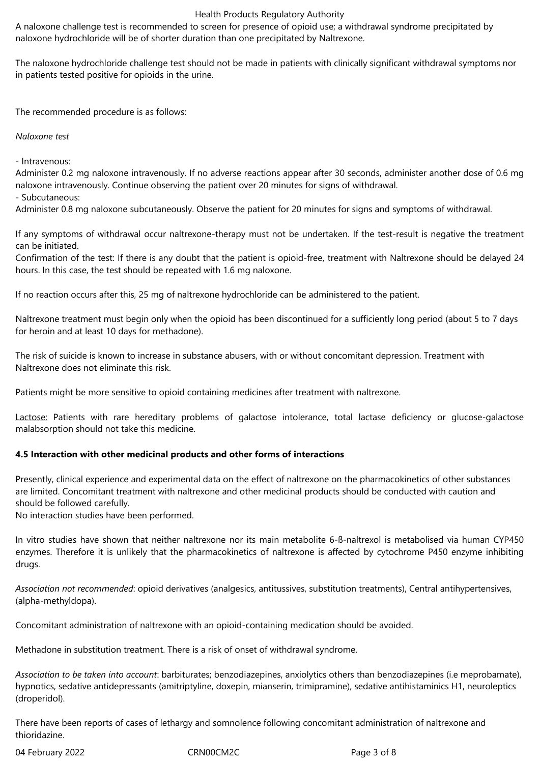A naloxone challenge test is recommended to screen for presence of opioid use; a withdrawal syndrome precipitated by naloxone hydrochloride will be of shorter duration than one precipitated by Naltrexone.

The naloxone hydrochloride challenge test should not be made in patients with clinically significant withdrawal symptoms nor in patients tested positive for opioids in the urine.

The recommended procedure is as follows:

*Naloxone test*

- Intravenous:

Administer 0.2 mg naloxone intravenously. If no adverse reactions appear after 30 seconds, administer another dose of 0.6 mg naloxone intravenously. Continue observing the patient over 20 minutes for signs of withdrawal.

- Subcutaneous:

Administer 0.8 mg naloxone subcutaneously. Observe the patient for 20 minutes for signs and symptoms of withdrawal.

If any symptoms of withdrawal occur naltrexone-therapy must not be undertaken. If the test-result is negative the treatment can be initiated.

Confirmation of the test: If there is any doubt that the patient is opioid-free, treatment with Naltrexone should be delayed 24 hours. In this case, the test should be repeated with 1.6 mg naloxone.

If no reaction occurs after this, 25 mg of naltrexone hydrochloride can be administered to the patient.

Naltrexone treatment must begin only when the opioid has been discontinued for a sufficiently long period (about 5 to 7 days for heroin and at least 10 days for methadone).

The risk of suicide is known to increase in substance abusers, with or without concomitant depression. Treatment with Naltrexone does not eliminate this risk.

Patients might be more sensitive to opioid containing medicines after treatment with naltrexone.

Lactose: Patients with rare hereditary problems of galactose intolerance, total lactase deficiency or glucose-galactose malabsorption should not take this medicine.

# **4.5 Interaction with other medicinal products and other forms of interactions**

Presently, clinical experience and experimental data on the effect of naltrexone on the pharmacokinetics of other substances are limited. Concomitant treatment with naltrexone and other medicinal products should be conducted with caution and should be followed carefully.

No interaction studies have been performed.

In vitro studies have shown that neither naltrexone nor its main metabolite 6-ß-naltrexol is metabolised via human CYP450 enzymes. Therefore it is unlikely that the pharmacokinetics of naltrexone is affected by cytochrome P450 enzyme inhibiting drugs.

*Association not recommended*: opioid derivatives (analgesics, antitussives, substitution treatments), Central antihypertensives, (alpha-methyldopa).

Concomitant administration of naltrexone with an opioid-containing medication should be avoided.

Methadone in substitution treatment. There is a risk of onset of withdrawal syndrome.

*Association to be taken into account*: barbiturates; benzodiazepines, anxiolytics others than benzodiazepines (i.e meprobamate), hypnotics, sedative antidepressants (amitriptyline, doxepin, mianserin, trimipramine), sedative antihistaminics H1, neuroleptics (droperidol).

There have been reports of cases of lethargy and somnolence following concomitant administration of naltrexone and thioridazine.

04 February 2022 CRN00CM2C Page 3 of 8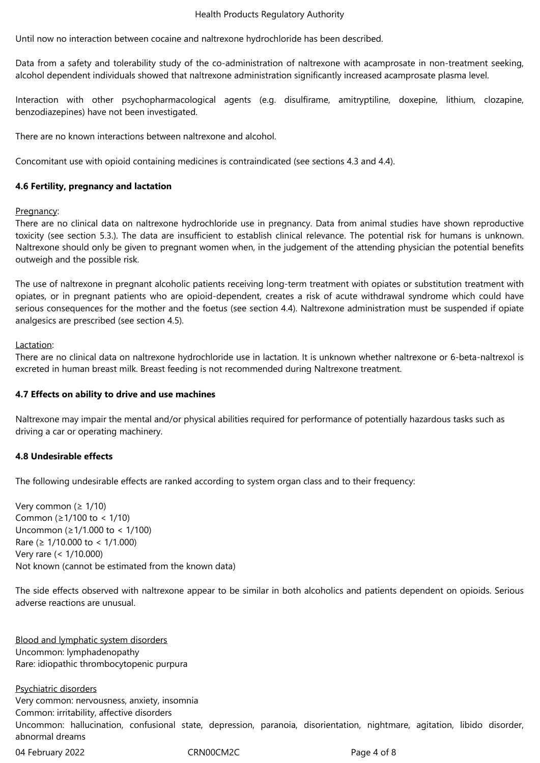Until now no interaction between cocaine and naltrexone hydrochloride has been described.

Data from a safety and tolerability study of the co-administration of naltrexone with acamprosate in non-treatment seeking, alcohol dependent individuals showed that naltrexone administration significantly increased acamprosate plasma level.

Interaction with other psychopharmacological agents (e.g. disulfirame, amitryptiline, doxepine, lithium, clozapine, benzodiazepines) have not been investigated.

There are no known interactions between naltrexone and alcohol.

Concomitant use with opioid containing medicines is contraindicated (see sections 4.3 and 4.4).

#### **4.6 Fertility, pregnancy and lactation**

#### Pregnancy:

There are no clinical data on naltrexone hydrochloride use in pregnancy. Data from animal studies have shown reproductive toxicity (see section 5.3.). The data are insufficient to establish clinical relevance. The potential risk for humans is unknown. Naltrexone should only be given to pregnant women when, in the judgement of the attending physician the potential benefits outweigh and the possible risk.

The use of naltrexone in pregnant alcoholic patients receiving long-term treatment with opiates or substitution treatment with opiates, or in pregnant patients who are opioid-dependent, creates a risk of acute withdrawal syndrome which could have serious consequences for the mother and the foetus (see section 4.4). Naltrexone administration must be suspended if opiate analgesics are prescribed (see section 4.5).

#### Lactation:

There are no clinical data on naltrexone hydrochloride use in lactation. It is unknown whether naltrexone or 6-beta-naltrexol is excreted in human breast milk. Breast feeding is not recommended during Naltrexone treatment.

#### **4.7 Effects on ability to drive and use machines**

Naltrexone may impair the mental and/or physical abilities required for performance of potentially hazardous tasks such as driving a car or operating machinery.

#### **4.8 Undesirable effects**

The following undesirable effects are ranked according to system organ class and to their frequency:

Very common ( $\geq 1/10$ ) Common (≥1/100 to < 1/10) Uncommon (≥1/1.000 to < 1/100) Rare (≥ 1/10.000 to < 1/1.000) Very rare (< 1/10.000) Not known (cannot be estimated from the known data)

The side effects observed with naltrexone appear to be similar in both alcoholics and patients dependent on opioids. Serious adverse reactions are unusual.

Blood and lymphatic system disorders Uncommon: lymphadenopathy Rare: idiopathic thrombocytopenic purpura

Psychiatric disorders Very common: nervousness, anxiety, insomnia Common: irritability, affective disorders Uncommon: hallucination, confusional state, depression, paranoia, disorientation, nightmare, agitation, libido disorder, abnormal dreams

04 February 2022 CRN00CM2C Page 4 of 8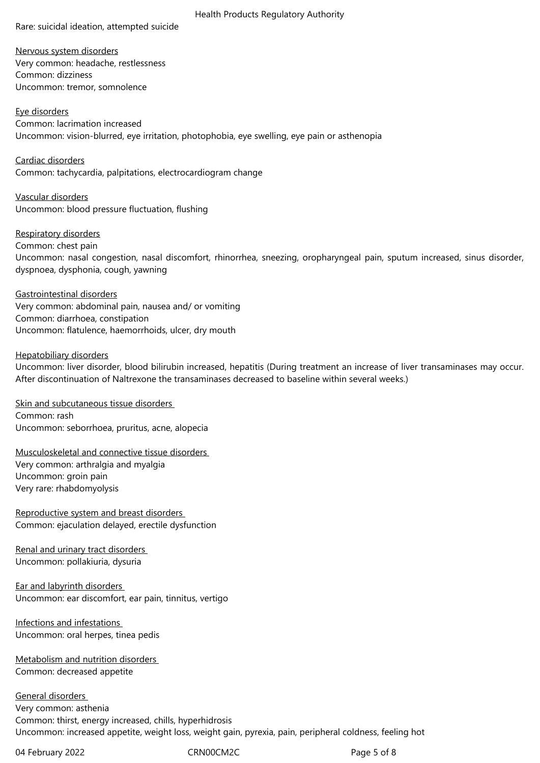Rare: suicidal ideation, attempted suicide

Health Products Regulatory Authority

Nervous system disorders Very common: headache, restlessness Common: dizziness Uncommon: tremor, somnolence

Eye disorders Common: lacrimation increased Uncommon: vision-blurred, eye irritation, photophobia, eye swelling, eye pain or asthenopia

Cardiac disorders Common: tachycardia, palpitations, electrocardiogram change

Vascular disorders Uncommon: blood pressure fluctuation, flushing

Respiratory disorders Common: chest pain Uncommon: nasal congestion, nasal discomfort, rhinorrhea, sneezing, oropharyngeal pain, sputum increased, sinus disorder, dyspnoea, dysphonia, cough, yawning

Gastrointestinal disorders Very common: abdominal pain, nausea and/ or vomiting Common: diarrhoea, constipation Uncommon: flatulence, haemorrhoids, ulcer, dry mouth

Hepatobiliary disorders Uncommon: liver disorder, blood bilirubin increased, hepatitis (During treatment an increase of liver transaminases may occur. After discontinuation of Naltrexone the transaminases decreased to baseline within several weeks.)

Skin and subcutaneous tissue disorders Common: rash Uncommon: seborrhoea, pruritus, acne, alopecia

Musculoskeletal and connective tissue disorders Very common: arthralgia and myalgia Uncommon: groin pain Very rare: rhabdomyolysis

Reproductive system and breast disorders Common: ejaculation delayed, erectile dysfunction

Renal and urinary tract disorders Uncommon: pollakiuria, dysuria

Ear and labyrinth disorders Uncommon: ear discomfort, ear pain, tinnitus, vertigo

Infections and infestations Uncommon: oral herpes, tinea pedis

Metabolism and nutrition disorders Common: decreased appetite

General disorders Very common: asthenia Common: thirst, energy increased, chills, hyperhidrosis Uncommon: increased appetite, weight loss, weight gain, pyrexia, pain, peripheral coldness, feeling hot

04 February 2022 CRN00CM2C CRNO2CM2C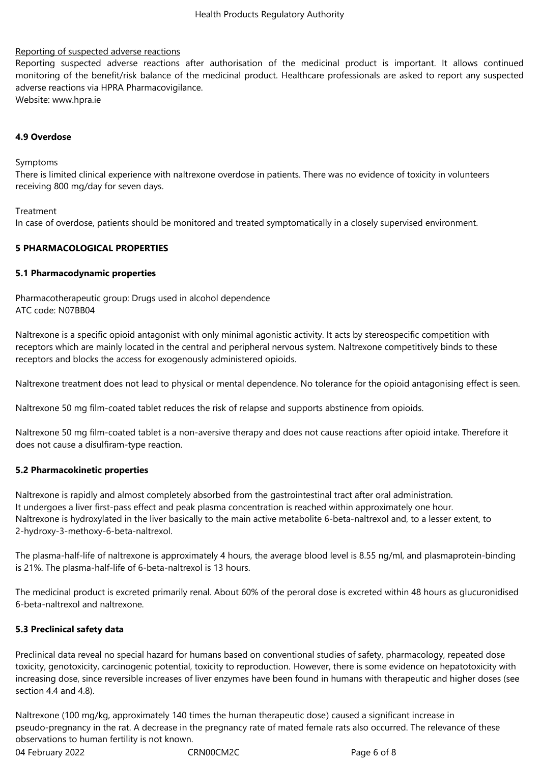## Reporting of suspected adverse reactions

Reporting suspected adverse reactions after authorisation of the medicinal product is important. It allows continued monitoring of the benefit/risk balance of the medicinal product. Healthcare professionals are asked to report any suspected adverse reactions via HPRA Pharmacovigilance. Website: www.hpra.ie

#### **4.9 Overdose**

Symptoms

There is limited clinical experience with naltrexone overdose in patients. There was no evidence of toxicity in volunteers receiving 800 mg/day for seven days.

Treatment

In case of overdose, patients should be monitored and treated symptomatically in a closely supervised environment.

#### **5 PHARMACOLOGICAL PROPERTIES**

#### **5.1 Pharmacodynamic properties**

Pharmacotherapeutic group: Drugs used in alcohol dependence ATC code: N07BB04

Naltrexone is a specific opioid antagonist with only minimal agonistic activity. It acts by stereospecific competition with receptors which are mainly located in the central and peripheral nervous system. Naltrexone competitively binds to these receptors and blocks the access for exogenously administered opioids.

Naltrexone treatment does not lead to physical or mental dependence. No tolerance for the opioid antagonising effect is seen.

Naltrexone 50 mg film-coated tablet reduces the risk of relapse and supports abstinence from opioids.

Naltrexone 50 mg film-coated tablet is a non-aversive therapy and does not cause reactions after opioid intake. Therefore it does not cause a disulfiram-type reaction.

#### **5.2 Pharmacokinetic properties**

Naltrexone is rapidly and almost completely absorbed from the gastrointestinal tract after oral administration. It undergoes a liver first-pass effect and peak plasma concentration is reached within approximately one hour. Naltrexone is hydroxylated in the liver basically to the main active metabolite 6-beta-naltrexol and, to a lesser extent, to 2-hydroxy-3-methoxy-6-beta-naltrexol.

The plasma-half-life of naltrexone is approximately 4 hours, the average blood level is 8.55 ng/ml, and plasmaprotein-binding is 21%. The plasma-half-life of 6-beta-naltrexol is 13 hours.

The medicinal product is excreted primarily renal. About 60% of the peroral dose is excreted within 48 hours as glucuronidised 6-beta-naltrexol and naltrexone*.*

#### **5.3 Preclinical safety data**

Preclinical data reveal no special hazard for humans based on conventional studies of safety, pharmacology, repeated dose toxicity, genotoxicity, carcinogenic potential, toxicity to reproduction. However, there is some evidence on hepatotoxicity with increasing dose, since reversible increases of liver enzymes have been found in humans with therapeutic and higher doses (see section 4.4 and 4.8).

04 February 2022 CRN00CM2C CRNOCM2C Page 6 of 8 Naltrexone (100 mg/kg, approximately 140 times the human therapeutic dose) caused a significant increase in pseudo-pregnancy in the rat. A decrease in the pregnancy rate of mated female rats also occurred. The relevance of these observations to human fertility is not known.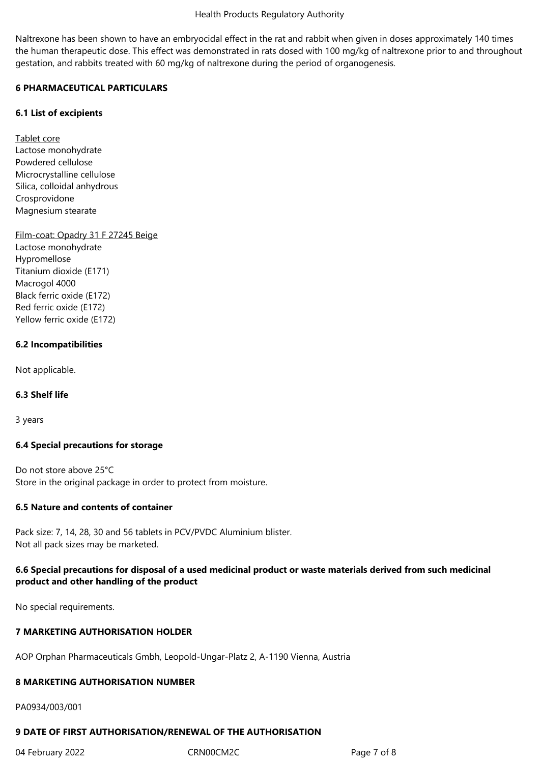Naltrexone has been shown to have an embryocidal effect in the rat and rabbit when given in doses approximately 140 times the human therapeutic dose. This effect was demonstrated in rats dosed with 100 mg/kg of naltrexone prior to and throughout gestation, and rabbits treated with 60 mg/kg of naltrexone during the period of organogenesis.

# **6 PHARMACEUTICAL PARTICULARS**

## **6.1 List of excipients**

Tablet core Lactose monohydrate Powdered cellulose Microcrystalline cellulose Silica, colloidal anhydrous Crosprovidone Magnesium stearate

Film-coat: Opadry 31 F 27245 Beige

Lactose monohydrate Hypromellose Titanium dioxide (E171) Macrogol 4000 Black ferric oxide (E172) Red ferric oxide (E172) Yellow ferric oxide (E172)

## **6.2 Incompatibilities**

Not applicable.

# **6.3 Shelf life**

3 years

#### **6.4 Special precautions for storage**

Do not store above 25°C Store in the original package in order to protect from moisture.

#### **6.5 Nature and contents of container**

Pack size: 7, 14, 28, 30 and 56 tablets in PCV/PVDC Aluminium blister. Not all pack sizes may be marketed.

# **6.6 Special precautions for disposal of a used medicinal product or waste materials derived from such medicinal product and other handling of the product**

No special requirements.

# **7 MARKETING AUTHORISATION HOLDER**

AOP Orphan Pharmaceuticals Gmbh, Leopold-Ungar-Platz 2, A-1190 Vienna, Austria

#### **8 MARKETING AUTHORISATION NUMBER**

PA0934/003/001

# **9 DATE OF FIRST AUTHORISATION/RENEWAL OF THE AUTHORISATION**

04 February 2022 CRN00CM2C Page 7 of 8